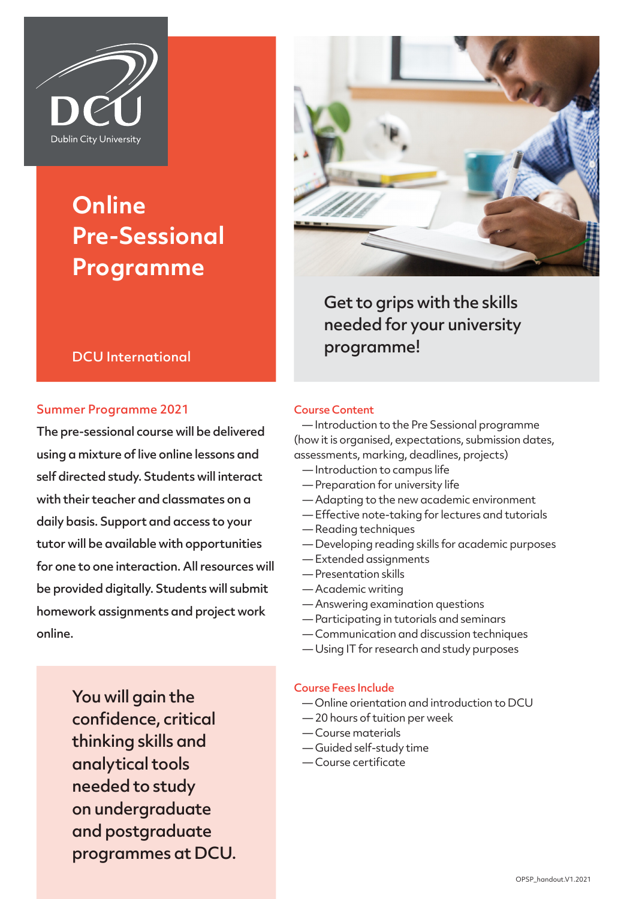

# **Online Pre-Sessional Programme**



Get to grips with the skills needed for your university programme!

# DCU International

# Summer Programme 2021

The pre-sessional course will be delivered using a mixture of live online lessons and self directed study. Students will interact with their teacher and classmates on a daily basis. Support and access to your tutor will be available with opportunities for one to one interaction. All resources will be provided digitally. Students will submit homework assignments and project work online.

# Course Content

 — Introduction to the Pre Sessional programme (how it is organised, expectations, submission dates, assessments, marking, deadlines, projects)

- Introduction to campus life
- Preparation for university life
- Adapting to the new academic environment
- Effective note-taking for lectures and tutorials
- Reading techniques
- Developing reading skills for academic purposes
- Extended assignments
- Presentation skills
- Academic writing
- Answering examination questions
- Participating in tutorials and seminars
- Communication and discussion techniques
- Using IT for research and study purposes

You will gain the confidence, critical thinking skills and analytical tools needed to study on undergraduate and postgraduate programmes at DCU.

#### Course Fees Include

- Online orientation and introduction to DCU
- 20 hours of tuition per week
- Course materials
- Guided self-study time
- Course certificate